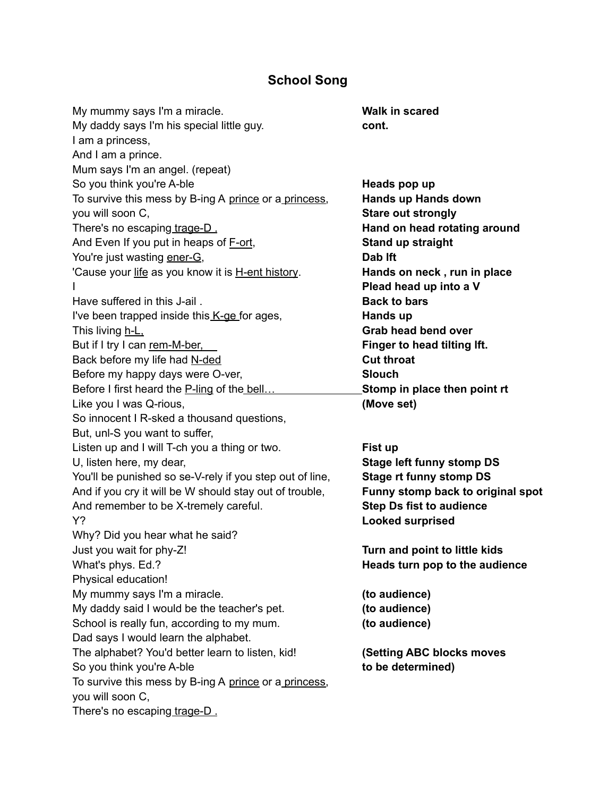## **School Song**

My mummy says I'm a miracle. **Walk in scared** My daddy says I'm his special little guy. **cont.** I am a princess, And I am a prince. Mum says I'm an angel. (repeat) So you think you're A-ble **Heads** pop up To survive this mess by B-ing A prince or a princess, **Hands up Hands down** you will soon C, **Stare out strongly** There's no escaping trage-D . **Hand on head rotating around** And Even If you put in heaps of F-ort, **Stand up straight** You're just wasting ener-G, **Dab** If t 'Cause your life as you know it is H-ent history. **Hands on neck , run in place** I **Plead head up into a V** Have suffered in this J-ail . **Back to bars** I've been trapped inside this K-ge for ages, **Hands** up This living h-L, **Grab head bend over** But if I try I can rem-M-ber, **Finger to head tilting Ift.** Back before my life had N-ded **Cutting Cut throat** Before my happy days were O-ver, **Slouch** Before I first heard the P-ling of the bell… **Stomp in place then point rt** Like you I was Q-rious, **(Move set)** So innocent I R-sked a thousand questions, But, unl-S you want to suffer, Listen up and I will T-ch you a thing or two. **Fist up** U, listen here, my dear, **Stage left funny stomp DS** You'll be punished so se-V-rely if you step out of line, **Stage rt funny stomp DS** And if you cry it will be W should stay out of trouble, **Funny stomp back to original spot** And remember to be X-tremely careful. **Step Ds fist to audience** Y? **Looked surprised** Why? Did you hear what he said? Just you wait for phy-Z! **Turn and point to little kids What's phys. Ed.? Heads turn pop to the audience** Physical education! My mummy says I'm a miracle. **(to audience)** My daddy said I would be the teacher's pet. **(to audience)** School is really fun, according to my mum. **(to audience)** Dad says I would learn the alphabet. The alphabet? You'd better learn to listen, kid! **(Setting ABC blocks moves** So you think you're A-ble **to be determined)** To survive this mess by B-ing A prince or a princess, you will soon C, There's no escaping trage-D.